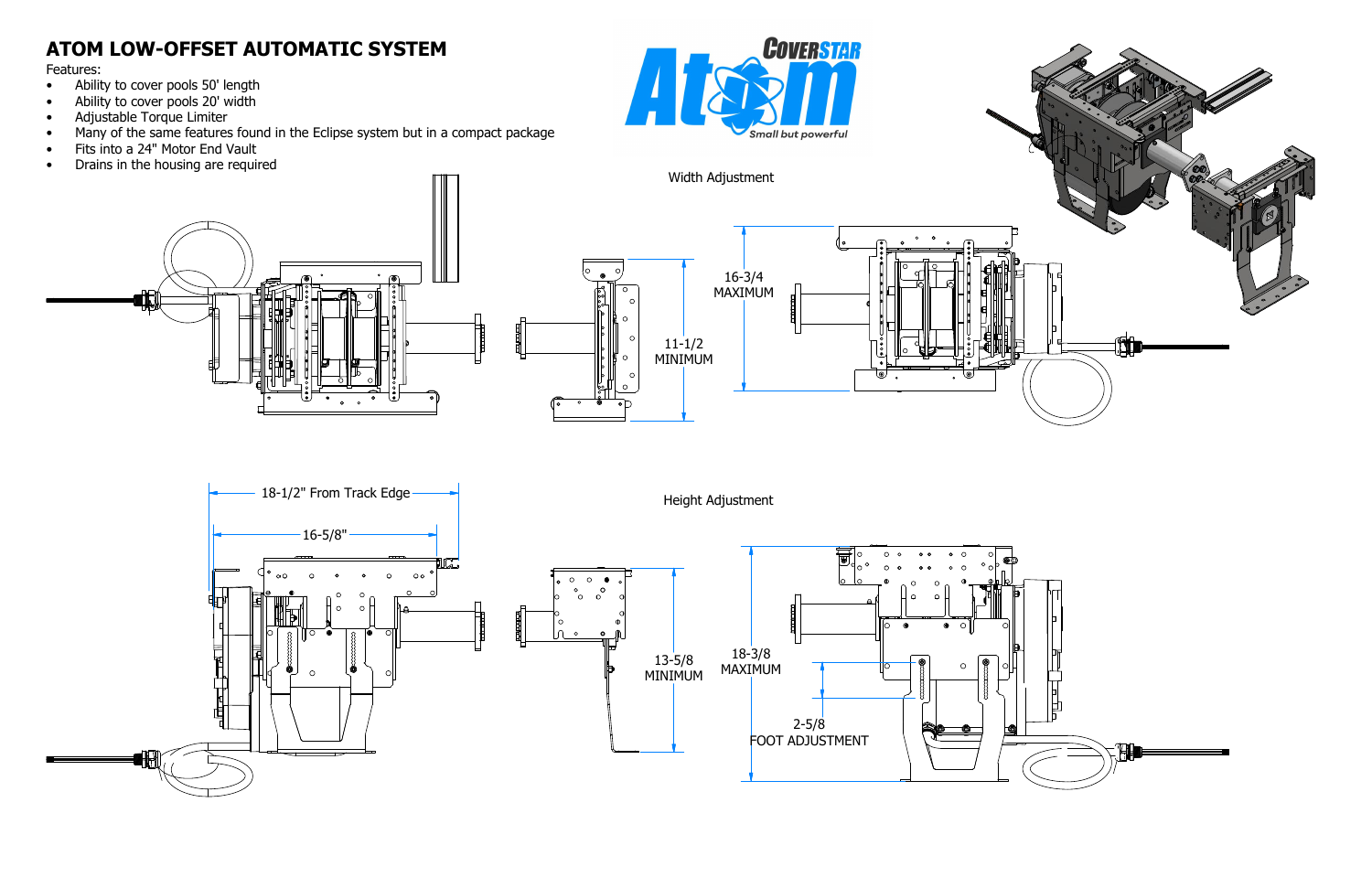## **ATOM LOW-OFFSET AUTOMATIC SYSTEM**

- Ability to cover pools 50' length
- Ability to cover pools 20' width
- Adjustable Torque Limiter
- Many of the same features found in the Eclipse system but in a compact package
- Fits into a 24" Motor End Vault
- Drains in the housing are required





Features:



间